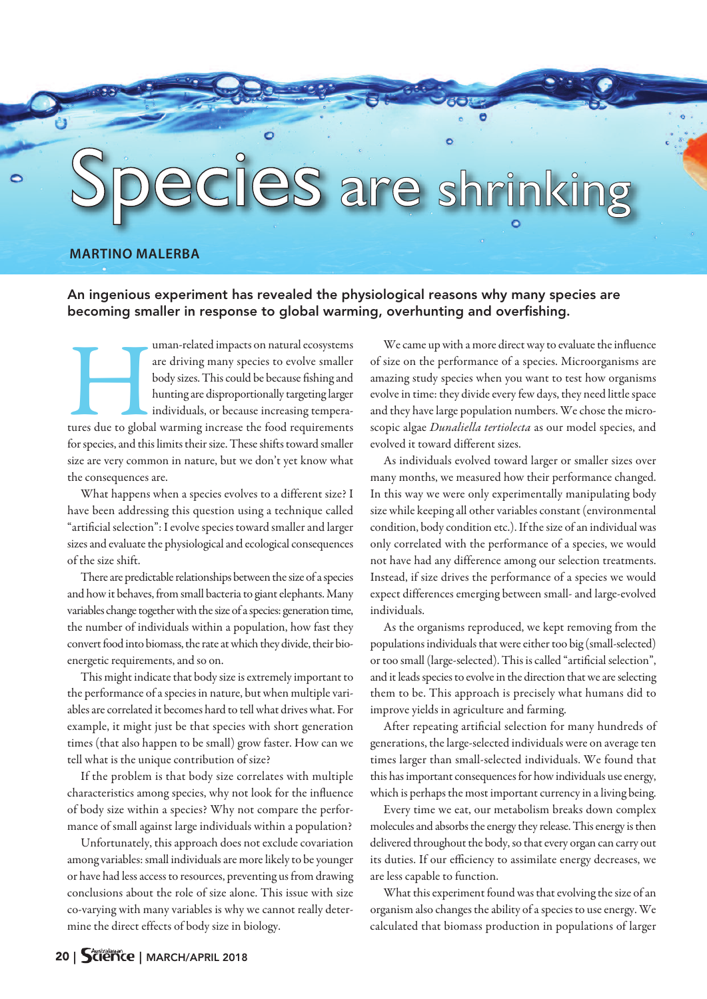## .<br>2S are shrinking

## **MARTINO MALERBA**

**An ingenious experiment has revealed the physiological reasons why many species are becoming smaller in response to global warming, overhunting and overfishing.**

uman-related impacts on natural ecosystems<br>
are driving many species to evolve smaller<br>
body sizes. This could be because fishing and<br>
hunting are disproportionally targeting larger<br>
individuals, or because increasing temp are driving many species to evolve smaller body sizes.Thiscould be because fishing and hunting are disproportionally targeting larger individuals, or because increasing temperafor species, and this limits their size. These shifts toward smaller size are very common in nature, but we don't yet know what the consequences are.

What happens when a species evolves to a different size? I have been addressing this question using a technique called "artificial selection": I evolve species toward smaller and larger sizes and evaluate the physiological and ecological consequences of the size shift.

There are predictable relationships between the size of a species and how it behaves, from small bacteria to giant elephants. Many variables change together with the size of a species: generation time, the number of individuals within a population, how fast they convert food into biomass, the rate at which they divide, their bioenergetic requirements, and so on.

This might indicate that body size is extremely important to the performance of a species in nature, but when multiple variables are correlated it becomes hard to tell what drives what. For example, it might just be that species with short generation times (that also happen to be small) grow faster. How can we tell what is the unique contribution of size?

If the problem is that body size correlates with multiple characteristics among species, why not look for the influence of body size within a species? Why not compare the performance of small against large individuals within a population?

Unfortunately, this approach does not exclude covariation among variables: small individuals are more likely to be younger or have had less access to resources, preventing us from drawing conclusions about the role of size alone. This issue with size co-varying with many variables is why we cannot really determine the direct effects of body size in biology.

We came up with a more direct way to evaluate the influence of size on the performance of a species. Microorganisms are amazing study species when you want to test how organisms evolve in time: they divide every few days, they need little space and they have large population numbers. We chose the microscopic algae *Dunaliella tertiolecta* as our model species, and evolved it toward different sizes.

As individuals evolved toward larger or smaller sizes over many months, we measured how their performance changed. In this way we were only experimentally manipulating body size while keeping all other variables constant (environmental condition, body condition etc.). If the size of an individual was only correlated with the performance of a species, we would not have had any difference among our selection treatments. Instead, if size drives the performance of a species we would expect differences emerging between small- and large-evolved individuals.

As the organisms reproduced, we kept removing from the populations individuals that were either too big (small-selected) or too small (large-selected). This is called "artificial selection", and it leads species to evolve in the direction that we are selecting them to be. This approach is precisely what humans did to improve yields in agriculture and farming.

After repeating artificial selection for many hundreds of generations, the large-selected individuals were on average ten times larger than small-selected individuals. We found that this has important consequences for how individuals use energy, which is perhaps the most important currency in a living being.

Every time we eat, our metabolism breaks down complex molecules and absorbs the energy they release. This energy is then delivered throughout the body, so that every organ can carry out its duties. If our efficiency to assimilate energy decreases, we are less capable to function.

What this experiment found was that evolving the size of an organism also changes the ability of a species to use energy. We calculated that biomass production in populations of larger